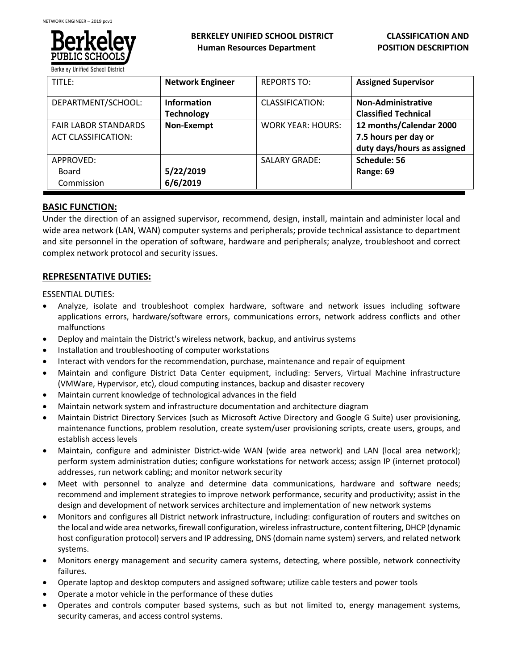

| TITLE:                                                    | <b>Network Engineer</b>                 | <b>REPORTS TO:</b>       | <b>Assigned Supervisor</b>                                                     |
|-----------------------------------------------------------|-----------------------------------------|--------------------------|--------------------------------------------------------------------------------|
| DEPARTMENT/SCHOOL:                                        | <b>Information</b><br><b>Technology</b> | CLASSIFICATION:          | <b>Non-Administrative</b><br><b>Classified Technical</b>                       |
| <b>FAIR LABOR STANDARDS</b><br><b>ACT CLASSIFICATION:</b> | Non-Exempt                              | <b>WORK YEAR: HOURS:</b> | 12 months/Calendar 2000<br>7.5 hours per day or<br>duty days/hours as assigned |
| APPROVED:<br><b>Board</b><br>Commission                   | 5/22/2019<br>6/6/2019                   | <b>SALARY GRADE:</b>     | Schedule: 56<br>Range: 69                                                      |

### **BASIC FUNCTION:**

Under the direction of an assigned supervisor, recommend, design, install, maintain and administer local and wide area network (LAN, WAN) computer systems and peripherals; provide technical assistance to department and site personnel in the operation of software, hardware and peripherals; analyze, troubleshoot and correct complex network protocol and security issues.

### **REPRESENTATIVE DUTIES:**

ESSENTIAL DUTIES:

- Analyze, isolate and troubleshoot complex hardware, software and network issues including software applications errors, hardware/software errors, communications errors, network address conflicts and other malfunctions
- Deploy and maintain the District's wireless network, backup, and antivirus systems
- Installation and troubleshooting of computer workstations
- Interact with vendors for the recommendation, purchase, maintenance and repair of equipment
- Maintain and configure District Data Center equipment, including: Servers, Virtual Machine infrastructure (VMWare, Hypervisor, etc), cloud computing instances, backup and disaster recovery
- Maintain current knowledge of technological advances in the field
- Maintain network system and infrastructure documentation and architecture diagram
- Maintain District Directory Services (such as Microsoft Active Directory and Google G Suite) user provisioning, maintenance functions, problem resolution, create system/user provisioning scripts, create users, groups, and establish access levels
- Maintain, configure and administer District-wide WAN (wide area network) and LAN (local area network); perform system administration duties; configure workstations for network access; assign IP (internet protocol) addresses, run network cabling; and monitor network security
- Meet with personnel to analyze and determine data communications, hardware and software needs; recommend and implement strategies to improve network performance, security and productivity; assist in the design and development of network services architecture and implementation of new network systems
- Monitors and configures all District network infrastructure, including: configuration of routers and switches on the local and wide area networks, firewall configuration, wireless infrastructure, content filtering, DHCP (dynamic host configuration protocol) servers and IP addressing, DNS (domain name system) servers, and related network systems.
- Monitors energy management and security camera systems, detecting, where possible, network connectivity failures.
- Operate laptop and desktop computers and assigned software; utilize cable testers and power tools
- Operate a motor vehicle in the performance of these duties
- Operates and controls computer based systems, such as but not limited to, energy management systems, security cameras, and access control systems.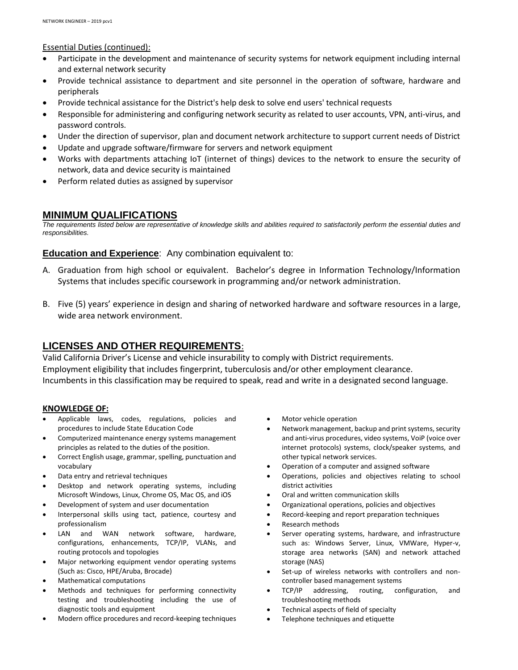Essential Duties (continued):

- Participate in the development and maintenance of security systems for network equipment including internal and external network security
- Provide technical assistance to department and site personnel in the operation of software, hardware and peripherals
- Provide technical assistance for the District's help desk to solve end users' technical requests
- Responsible for administering and configuring network security as related to user accounts, VPN, anti-virus, and password controls.
- Under the direction of supervisor, plan and document network architecture to support current needs of District
- Update and upgrade software/firmware for servers and network equipment
- Works with departments attaching IoT (internet of things) devices to the network to ensure the security of network, data and device security is maintained
- Perform related duties as assigned by supervisor

# **MINIMUM QUALIFICATIONS**

*The requirements listed below are representative of knowledge skills and abilities required to satisfactorily perform the essential duties and responsibilities.*

# **Education and Experience**: Any combination equivalent to:

- A. Graduation from high school or equivalent. Bachelor's degree in Information Technology/Information Systems that includes specific coursework in programming and/or network administration.
- B. Five (5) years' experience in design and sharing of networked hardware and software resources in a large, wide area network environment.

# **LICENSES AND OTHER REQUIREMENTS**:

Valid California Driver's License and vehicle insurability to comply with District requirements. Employment eligibility that includes fingerprint, tuberculosis and/or other employment clearance. Incumbents in this classification may be required to speak, read and write in a designated second language.

### **KNOWLEDGE OF:**

- Applicable laws, codes, regulations, policies and procedures to include State Education Code
- Computerized maintenance energy systems management principles as related to the duties of the position.
- Correct English usage, grammar, spelling, punctuation and vocabulary
- Data entry and retrieval techniques
- Desktop and network operating systems, including Microsoft Windows, Linux, Chrome OS, Mac OS, and iOS
- Development of system and user documentation
- Interpersonal skills using tact, patience, courtesy and professionalism
- LAN and WAN network software, hardware, configurations, enhancements, TCP/IP, VLANs, and routing protocols and topologies
- Major networking equipment vendor operating systems (Such as: Cisco, HPE/Aruba, Brocade)
- Mathematical computations
- Methods and techniques for performing connectivity testing and troubleshooting including the use of diagnostic tools and equipment
- Modern office procedures and record-keeping techniques
- Motor vehicle operation
- Network management, backup and print systems, security and anti-virus procedures, video systems, VoiP (voice over internet protocols) systems, clock/speaker systems, and other typical network services.
- Operation of a computer and assigned software
- Operations, policies and objectives relating to school district activities
- Oral and written communication skills
- Organizational operations, policies and objectives
- Record-keeping and report preparation techniques
- Research methods
- Server operating systems, hardware, and infrastructure such as: Windows Server, Linux, VMWare, Hyper-v, storage area networks (SAN) and network attached storage (NAS)
- Set-up of wireless networks with controllers and noncontroller based management systems
- TCP/IP addressing, routing, configuration, and troubleshooting methods
- Technical aspects of field of specialty
- Telephone techniques and etiquette